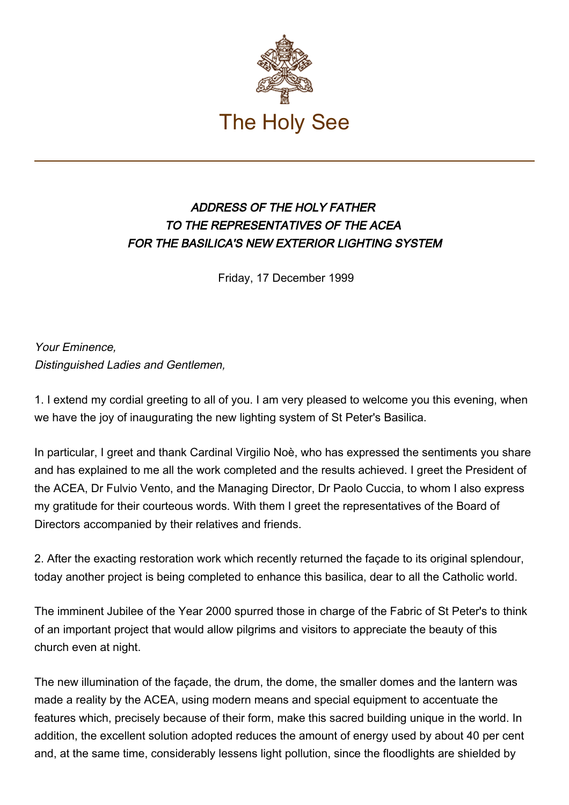

## ADDRESS OF THE HOLY FATHER TO THE REPRESENTATIVES OF THE ACEA FOR THE BASILICA'S NEW EXTERIOR LIGHTING SYSTEM

Friday, 17 December 1999

Your Eminence, Distinguished Ladies and Gentlemen,

1. I extend my cordial greeting to all of you. I am very pleased to welcome you this evening, when we have the joy of inaugurating the new lighting system of St Peter's Basilica.

In particular, I greet and thank Cardinal Virgilio Noè, who has expressed the sentiments you share and has explained to me all the work completed and the results achieved. I greet the President of the ACEA, Dr Fulvio Vento, and the Managing Director, Dr Paolo Cuccia, to whom I also express my gratitude for their courteous words. With them I greet the representatives of the Board of Directors accompanied by their relatives and friends.

2. After the exacting restoration work which recently returned the façade to its original splendour, today another project is being completed to enhance this basilica, dear to all the Catholic world.

The imminent Jubilee of the Year 2000 spurred those in charge of the Fabric of St Peter's to think of an important project that would allow pilgrims and visitors to appreciate the beauty of this church even at night.

The new illumination of the façade, the drum, the dome, the smaller domes and the lantern was made a reality by the ACEA, using modern means and special equipment to accentuate the features which, precisely because of their form, make this sacred building unique in the world. In addition, the excellent solution adopted reduces the amount of energy used by about 40 per cent and, at the same time, considerably lessens light pollution, since the floodlights are shielded by